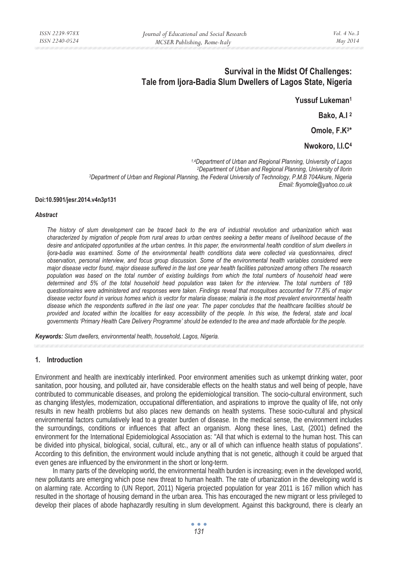# **Survival in the Midst Of Challenges: Tale from Ijora-Badia Slum Dwellers of Lagos State, Nigeria**

**Yussuf Lukeman1**

**Bako, A.I 2**

**Omole, F.K3\*** 

# **Nwokoro, I.I.C4**

*1,4Department of Urban and Regional Planning, University of Lagos 2Department of Urban and Regional Planning, University of Ilorin 3Department of Urban and Regional Planning, the Federal University of Technology, P.M.B 704Akure, Nigeria Email: fkyomole@yahoo.co.uk* 

#### **Doi:10.5901/jesr.2014.v4n3p131**

#### *Abstract*

*The history of slum development can be traced back to the era of industrial revolution and urbanization which was characterized by migration of people from rural areas to urban centres seeking a better means of livelihood because of the desire and anticipated opportunities at the urban centres. In this paper, the environmental health condition of slum dwellers in Ijora-badia was examined. Some of the environmental health conditions data were collected via questionnaires, direct observation, personal interview, and focus group discussion. Some of the environmental health variables considered were major disease vector found, major disease suffered in the last one year health facilities patronized among others The research population was based on the total number of existing buildings from which the total numbers of household head were determined and 5% of the total household head population was taken for the interview. The total numbers of 189 questionnaires were administered and responses were taken. Findings reveal that mosquitoes accounted for 77.8% of major disease vector found in various homes which is vector for malaria disease; malaria is the most prevalent environmental health disease which the respondents suffered in the last one year. The paper concludes that the healthcare facilities should be provided and located within the localities for easy accessibility of the people. In this wise, the federal, state and local governments 'Primary Health Care Delivery Programme' should be extended to the area and made affordable for the people.* 

*Keywords: Slum dwellers, environmental health, household, Lagos, Nigeria.* 

### **1. Introduction**

Environment and health are inextricably interlinked. Poor environment amenities such as unkempt drinking water, poor sanitation, poor housing, and polluted air, have considerable effects on the health status and well being of people, have contributed to communicable diseases, and prolong the epidemiological transition. The socio-cultural environment, such as changing lifestyles, modernization, occupational differentiation, and aspirations to improve the quality of life, not only results in new health problems but also places new demands on health systems. These socio-cultural and physical environmental factors cumulatively lead to a greater burden of disease. In the medical sense, the environment includes the surroundings, conditions or influences that affect an organism. Along these lines, Last, (2001) defined the environment for the International Epidemiological Association as: "All that which is external to the human host. This can be divided into physical, biological, social, cultural, etc., any or all of which can influence health status of populations". According to this definition, the environment would include anything that is not genetic, although it could be argued that even genes are influenced by the environment in the short or long-term.

In many parts of the developing world, the environmental health burden is increasing; even in the developed world, new pollutants are emerging which pose new threat to human health. The rate of urbanization in the developing world is on alarming rate. According to (UN Report, 2011) Nigeria projected population for year 2011 is 167 million which has resulted in the shortage of housing demand in the urban area. This has encouraged the new migrant or less privileged to develop their places of abode haphazardly resulting in slum development. Against this background, there is clearly an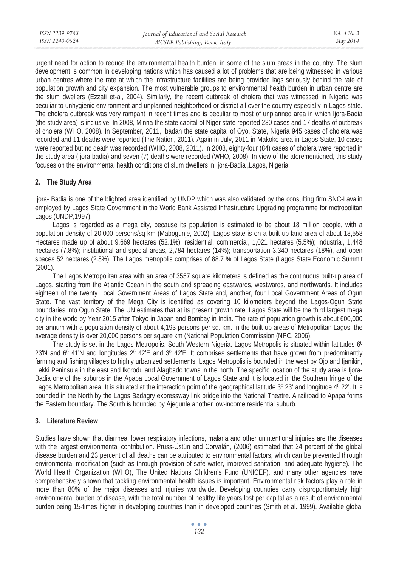urgent need for action to reduce the environmental health burden, in some of the slum areas in the country. The slum development is common in developing nations which has caused a lot of problems that are being witnessed in various urban centres where the rate at which the infrastructure facilities are being provided lags seriously behind the rate of population growth and city expansion. The most vulnerable groups to environmental health burden in urban centre are the slum dwellers (Ezzati et-al, 2004). Similarly, the recent outbreak of cholera that was witnessed in Nigeria was peculiar to unhygienic environment and unplanned neighborhood or district all over the country especially in Lagos state. The cholera outbreak was very rampant in recent times and is peculiar to most of unplanned area in which Ijora-Badia (the study area) is inclusive. In 2008, Minna the state capital of Niger state reported 230 cases and 17 deaths of outbreak of cholera (WHO, 2008). In September, 2011, Ibadan the state capital of Oyo, State, Nigeria 945 cases of cholera was recorded and 11 deaths were reported (The Nation, 2011). Again in July, 2011 in Makoko area in Lagos State, 10 cases were reported but no death was recorded (WHO, 2008, 2011). In 2008, eighty-four (84) cases of cholera were reported in the study area (Ijora-badia) and seven (7) deaths were recorded (WHO, 2008). In view of the aforementioned, this study focuses on the environmental health conditions of slum dwellers in Ijora-Badia ,Lagos, Nigeria.

## **2. The Study Area**

Ijora- Badia is one of the blighted area identified by UNDP which was also validated by the consulting firm SNC-Lavalin employed by Lagos State Government in the World Bank Assisted Infrastructure Upgrading programme for metropolitan Lagos (UNDP,1997).

Lagos is regarded as a mega city, because its population is estimated to be about 18 million people, with a population density of 20,000 persons/sq km (Mabogunje, 2002). Lagos state is on a built-up land area of about 18,558 Hectares made up of about 9,669 hectares (52.1%). residential, commercial, 1,021 hectares (5.5%); industrial, 1,448 hectares (7.8%); institutional and special areas, 2,784 hectares (14%); transportation 3,340 hectares (18%), and open spaces 52 hectares (2.8%). The Lagos metropolis comprises of 88.7 % of Lagos State (Lagos State Economic Summit (2001).

The Lagos Metropolitan area with an area of 3557 square kilometers is defined as the continuous built-up area of Lagos, starting from the Atlantic Ocean in the south and spreading eastwards, westwards, and northwards. It includes eighteen of the twenty Local Government Areas of Lagos State and, another, four Local Government Areas of Ogun State. The vast territory of the Mega City is identified as covering 10 kilometers beyond the Lagos-Ogun State boundaries into Ogun State. The UN estimates that at its present growth rate, Lagos State will be the third largest mega city in the world by Year 2015 after Tokyo in Japan and Bombay in India. The rate of population growth is about 600,000 per annum with a population density of about 4,193 persons per sq. km. In the built-up areas of Metropolitan Lagos, the average density is over 20,000 persons per square km (National Population Commission (NPC, 2006).

The study is set in the Lagos Metropolis, South Western Nigeria. Lagos Metropolis is situated within latitudes  $6^{\circ}$ 23'N and  $6^{\circ}$  41'N and longitudes  $2^{\circ}$  42'E and  $3^{\circ}$  42'E. It comprises settlements that have grown from predominantly farming and fishing villages to highly urbanized settlements. Lagos Metropolis is bounded in the west by Ojo and Ijanikin, Lekki Peninsula in the east and Ikorodu and Alagbado towns in the north. The specific location of the study area is Ijora-Badia one of the suburbs in the Apapa Local Government of Lagos State and it is located in the Southern fringe of the Lagos Metropolitan area. It is situated at the interaction point of the geographical latitude 3<sup>0</sup> 23' and longitude 4<sup>0</sup> 22'. It is bounded in the North by the Lagos Badagry expressway link bridge into the National Theatre. A railroad to Apapa forms the Eastern boundary. The South is bounded by Ajegunle another low-income residential suburb.

### **3. Literature Review**

Studies have shown that diarrhea, lower respiratory infections, malaria and other unintentional injuries are the diseases with the largest environmental contribution. Prüss-Üstün and Corvalán, (2006) estimated that 24 percent of the global disease burden and 23 percent of all deaths can be attributed to environmental factors, which can be prevented through environmental modification (such as through provision of safe water, improved sanitation, and adequate hygiene). The World Health Organization (WHO), The United Nations Children's Fund (UNICEF), and many other agencies have comprehensively shown that tackling environmental health issues is important. Environmental risk factors play a role in more than 80% of the major diseases and injuries worldwide. Developing countries carry disproportionately high environmental burden of disease, with the total number of healthy life years lost per capital as a result of environmental burden being 15-times higher in developing countries than in developed countries (Smith et al. 1999). Available global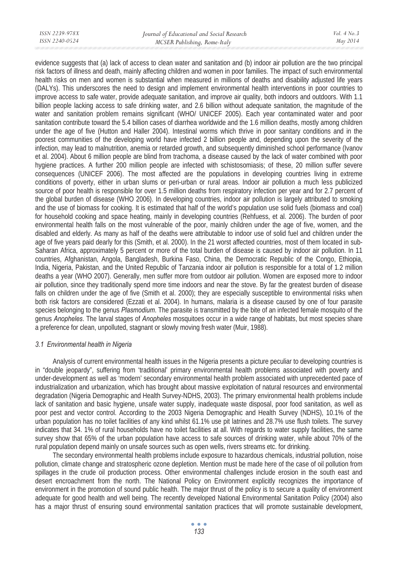evidence suggests that (a) lack of access to clean water and sanitation and (b) indoor air pollution are the two principal risk factors of illness and death, mainly affecting children and women in poor families. The impact of such environmental health risks on men and women is substantial when measured in millions of deaths and disability adjusted life years (DALYs). This underscores the need to design and implement environmental health interventions in poor countries to improve access to safe water, provide adequate sanitation, and improve air quality, both indoors and outdoors. With 1.1 billion people lacking access to safe drinking water, and 2.6 billion without adequate sanitation, the magnitude of the water and sanitation problem remains significant (WHO/ UNICEF 2005). Each year contaminated water and poor sanitation contribute toward the 5.4 billion cases of diarrhea worldwide and the 1.6 million deaths, mostly among children under the age of five (Hutton and Haller 2004). Intestinal worms which thrive in poor sanitary conditions and in the poorest communities of the developing world have infected 2 billion people and, depending upon the severity of the infection, may lead to malnutrition, anemia or retarded growth, and subsequently diminished school performance (Ivanov et al. 2004). About 6 million people are blind from trachoma, a disease caused by the lack of water combined with poor hygiene practices. A further 200 million people are infected with schistosomiasis; of these, 20 million suffer severe consequences (UNICEF 2006). The most affected are the populations in developing countries living in extreme conditions of poverty, either in urban slums or peri-urban or rural areas. Indoor air pollution a much less publicized source of poor health is responsible for over 1.5 million deaths from respiratory infection per year and for 2.7 percent of the global burden of disease (WHO 2006). In developing countries, indoor air pollution is largely attributed to smoking and the use of biomass for cooking. It is estimated that half of the world's population use solid fuels (biomass and coal) for household cooking and space heating, mainly in developing countries (Rehfuess, et al. 2006). The burden of poor environmental health falls on the most vulnerable of the poor, mainly children under the age of five, women, and the disabled and elderly. As many as half of the deaths were attributable to indoor use of solid fuel and children under the age of five years paid dearly for this (Smith, et al. 2000). In the 21 worst affected countries, most of them located in sub-Saharan Africa, approximately 5 percent or more of the total burden of disease is caused by indoor air pollution. In 11 countries, Afghanistan, Angola, Bangladesh, Burkina Faso, China, the Democratic Republic of the Congo, Ethiopia, India, Nigeria, Pakistan, and the United Republic of Tanzania indoor air pollution is responsible for a total of 1.2 million deaths a year (WHO 2007). Generally, men suffer more from outdoor air pollution. Women are exposed more to indoor air pollution, since they traditionally spend more time indoors and near the stove. By far the greatest burden of disease falls on children under the age of five (Smith et al. 2000); they are especially susceptible to environmental risks when both risk factors are considered (Ezzati et al. 2004). In humans, malaria is a disease caused by one of four parasite species belonging to the genus *Plasmodium*. The parasite is transmitted by the bite of an infected female mosquito of the genus *Anopheles*. The larval stages of *Anopheles* mosquitoes occur in a wide range of habitats, but most species share a preference for clean, unpolluted, stagnant or slowly moving fresh water (Muir, 1988).

## *3.1 Environmental health in Nigeria*

Analysis of current environmental health issues in the Nigeria presents a picture peculiar to developing countries is in "double jeopardy", suffering from 'traditional' primary environmental health problems associated with poverty and under-development as well as 'modern' secondary environmental health problem associated with unprecedented pace of industrialization and urbanization, which has brought about massive exploitation of natural resources and environmental degradation (Nigeria Demographic and Health Survey-NDHS, 2003). The primary environmental health problems include lack of sanitation and basic hygiene, unsafe water supply, inadequate waste disposal, poor food sanitation, as well as poor pest and vector control. According to the 2003 Nigeria Demographic and Health Survey (NDHS), 10.1% of the urban population has no toilet facilities of any kind whilst 61.1% use pit latrines and 28.7% use flush toilets. The survey indicates that 34. 1% of rural households have no toilet facilities at all. With regards to water supply facilities, the same survey show that 65% of the urban population have access to safe sources of drinking water, while about 70% of the rural population depend mainly on unsafe sources such as open wells, rivers streams etc. for drinking.

The secondary environmental health problems include exposure to hazardous chemicals, industrial pollution, noise pollution, climate change and stratospheric ozone depletion. Mention must be made here of the case of oil pollution from spillages in the crude oil production process. Other environmental challenges include erosion in the south east and desert encroachment from the north. The National Policy on Environment explicitly recognizes the importance of environment in the promotion of sound public health. The major thrust of the policy is to secure a quality of environment adequate for good health and well being. The recently developed National Environmental Sanitation Policy (2004) also has a major thrust of ensuring sound environmental sanitation practices that will promote sustainable development,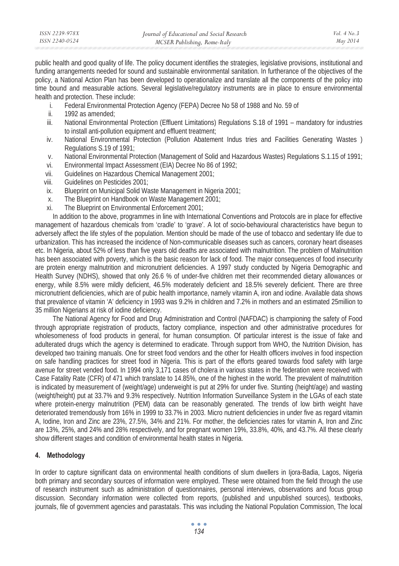public health and good quality of life. The policy document identifies the strategies, legislative provisions, institutional and funding arrangements needed for sound and sustainable environmental sanitation. In furtherance of the objectives of the policy, a National Action Plan has been developed to operationalize and translate all the components of the policy into time bound and measurable actions. Several legislative/regulatory instruments are in place to ensure environmental health and protection. These include:

- i. Federal Environmental Protection Agency (FEPA) Decree No 58 of 1988 and No. 59 of
- ii. 1992 as amended;
- iii. National Environmental Protection (Effluent Limitations) Regulations S.18 of 1991 mandatory for industries to install anti-pollution equipment and effluent treatment;
- iv. National Environmental Protection (Pollution Abatement Indus tries and Facilities Generating Wastes ) Regulations S.19 of 1991;
- v. National Environmental Protection (Management of Solid and Hazardous Wastes) Regulations S.1.15 of 1991;
- vi. Environmental Impact Assessment (EIA) Decree No 86 of 1992;
- vii. Guidelines on Hazardous Chemical Management 2001;
- viii. Guidelines on Pesticides 2001;
- ix. Blueprint on Municipal Solid Waste Management in Nigeria 2001;
- x. The Blueprint on Handbook on Waste Management 2001;
- xi. The Blueprint on Environmental Enforcement 2001;

In addition to the above, programmes in line with International Conventions and Protocols are in place for effective management of hazardous chemicals from 'cradle' to 'grave'. A lot of socio-behavioural characteristics have begun to adversely affect the life styles of the population. Mention should be made of the use of tobacco and sedentary life due to urbanization. This has increased the incidence of Non-communicable diseases such as cancers, coronary heart diseases etc. In Nigeria, about 52% of less than five years old deaths are associated with malnutrition. The problem of Malnutrition has been associated with poverty, which is the basic reason for lack of food. The major consequences of food insecurity are protein energy malnutrition and micronutrient deficiencies. A 1997 study conducted by Nigeria Demographic and Health Survey (NDHS), showed that only 26.6 % of under-five children met their recommended dietary allowances or energy, while 8.5% were mildly deficient, 46.5% moderately deficient and 18.5% severely deficient. There are three micronutrient deficiencies, which are of pubic health importance, namely vitamin A, iron and iodine. Available data shows that prevalence of vitamin 'A' deficiency in 1993 was 9.2% in children and 7.2% in mothers and an estimated 25million to 35 million Nigerians at risk of iodine deficiency.

The National Agency for Food and Drug Administration and Control (NAFDAC) is championing the safety of Food through appropriate registration of products, factory compliance, inspection and other administrative procedures for wholesomeness of food products in general, for human consumption. Of particular interest is the issue of fake and adulterated drugs which the agency is determined to eradicate. Through support from WHO, the Nutrition Division, has developed two training manuals. One for street food vendors and the other for Health officers involves in food inspection on safe handling practices for street food in Nigeria. This is part of the efforts geared towards food safety with large avenue for street vended food. In 1994 only 3,171 cases of cholera in various states in the federation were received with Case Fatality Rate (CFR) of 471 which translate to 14.85%, one of the highest in the world. The prevalent of malnutrition is indicated by measurement of (weight/age) underweight is put at 29% for under five. Stunting (height/age) and wasting (weight/height) put at 33.7% and 9.3% respectively. Nutrition Information Surveillance System in the LGAs of each state where protein-energy malnutrition (PEM) data can be reasonably generated. The trends of low birth weight have deteriorated tremendously from 16% in 1999 to 33.7% in 2003. Micro nutrient deficiencies in under five as regard vitamin A, Iodine, Iron and Zinc are 23%, 27.5%, 34% and 21%. For mother, the deficiencies rates for vitamin A, Iron and Zinc are 13%, 25%, and 24% and 28% respectively, and for pregnant women 19%, 33.8%, 40%, and 43.7%. All these clearly show different stages and condition of environmental health states in Nigeria.

## **4. Methodology**

In order to capture significant data on environmental health conditions of slum dwellers in Ijora-Badia, Lagos, Nigeria both primary and secondary sources of information were employed. These were obtained from the field through the use of research instrument such as administration of questionnaires, personal interviews, observations and focus group discussion. Secondary information were collected from reports, (published and unpublished sources), textbooks, journals, file of government agencies and parastatals. This was including the National Population Commission, The local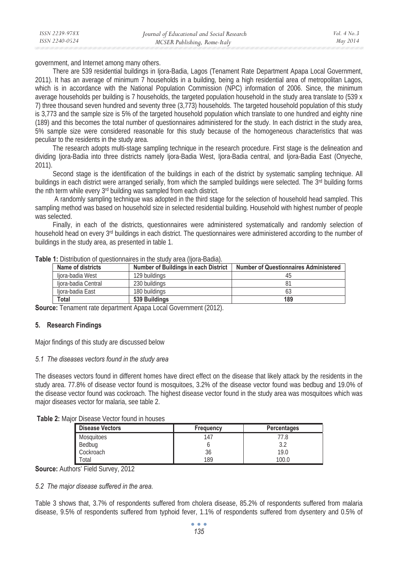government, and Internet among many others.

There are 539 residential buildings in Ijora-Badia, Lagos (Tenament Rate Department Apapa Local Government, 2011). It has an average of minimum 7 households in a building, being a high residential area of metropolitan Lagos, which is in accordance with the National Population Commission (NPC) information of 2006. Since, the minimum average households per building is 7 households, the targeted population household in the study area translate to (539 x 7) three thousand seven hundred and seventy three (3,773) households. The targeted household population of this study is 3,773 and the sample size is 5% of the targeted household population which translate to one hundred and eighty nine (189) and this becomes the total number of questionnaires administered for the study. In each district in the study area, 5% sample size were considered reasonable for this study because of the homogeneous characteristics that was peculiar to the residents in the study area.

The research adopts multi-stage sampling technique in the research procedure. First stage is the delineation and dividing Ijora-Badia into three districts namely Ijora-Badia West, Ijora-Badia central, and Ijora-Badia East (Onyeche, 2011).

Second stage is the identification of the buildings in each of the district by systematic sampling technique. All buildings in each district were arranged serially, from which the sampled buildings were selected. The  $3<sup>rd</sup>$  building forms the nth term while every 3<sup>rd</sup> building was sampled from each district.

 A randomly sampling technique was adopted in the third stage for the selection of household head sampled. This sampling method was based on household size in selected residential building. Household with highest number of people was selected.

Finally, in each of the districts, questionnaires were administered systematically and randomly selection of household head on every 3<sup>rd</sup> buildings in each district. The questionnaires were administered according to the number of buildings in the study area, as presented in table 1.

| Name of districts   | Number of Buildings in each District | <b>Number of Questionnaires Administered</b> |
|---------------------|--------------------------------------|----------------------------------------------|
| liora-badia West    | 129 buildings                        | 45                                           |
| liora-badia Central | 230 buildings                        |                                              |
| liora-badia East    | 180 buildings                        | o.                                           |
| Гоtal               | 539 Buildings                        | 189                                          |

**Table 1:** Distribution of questionnaires in the study area (Ijora-Badia).

**Source:** Tenament rate department Apapa Local Government (2012).

### **5. Research Findings**

Major findings of this study are discussed below

### *5.1 The diseases vectors found in the study area*

The diseases vectors found in different homes have direct effect on the disease that likely attack by the residents in the study area. 77.8% of disease vector found is mosquitoes, 3.2% of the disease vector found was bedbug and 19.0% of the disease vector found was cockroach. The highest disease vector found in the study area was mosquitoes which was major diseases vector for malaria, see table 2.

 **Table 2:** Major Disease Vector found in houses

| <b>Disease Vectors</b> | Frequency | Percentages |
|------------------------|-----------|-------------|
| Mosquitoes             | 147       | 77.8        |
| Bedbug                 |           | 3.2         |
| Cockroach              | 36        | 19.0        |
| "otal                  | 189       | 100.0       |

**Source:** Authors' Field Survey, 2012

*5.2 The major disease suffered in the area.* 

Table 3 shows that, 3.7% of respondents suffered from cholera disease, 85.2% of respondents suffered from malaria disease, 9.5% of respondents suffered from typhoid fever, 1.1% of respondents suffered from dysentery and 0.5% of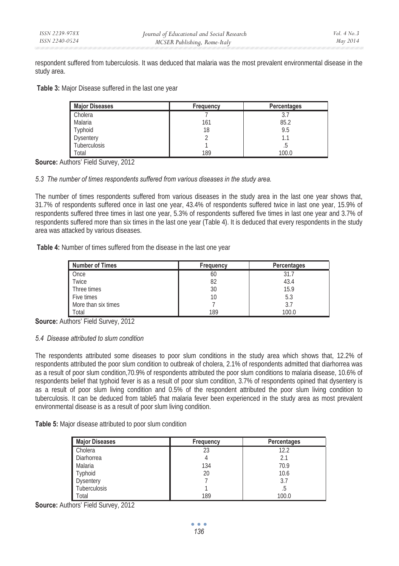respondent suffered from tuberculosis. It was deduced that malaria was the most prevalent environmental disease in the study area.

 **Table 3:** Major Disease suffered in the last one year

| <b>Major Diseases</b> | Frequency | Percentages |
|-----------------------|-----------|-------------|
| Cholera               |           | 3.1         |
| Malaria               | 161       | 85.2        |
| <b>Typhoid</b>        | 18        | 9.5         |
| <b>Dysentery</b>      |           |             |
| <b>Tuberculosis</b>   |           | С.          |
| <b>Total</b>          | 189       | 100.0       |

**Source:** Authors' Field Survey, 2012

### *5.3 The number of times respondents suffered from various diseases in the study area.*

The number of times respondents suffered from various diseases in the study area in the last one year shows that, 31.7% of respondents suffered once in last one year, 43.4% of respondents suffered twice in last one year, 15.9% of respondents suffered three times in last one year, 5.3% of respondents suffered five times in last one year and 3.7% of respondents suffered more than six times in the last one year (Table 4). It is deduced that every respondents in the study area was attacked by various diseases.

 **Table 4:** Number of times suffered from the disease in the last one year

| <b>Number of Times</b> | Frequency | <b>Percentages</b> |
|------------------------|-----------|--------------------|
| Once                   | 60        | 31.7               |
| Twice                  | 82        | 43.4               |
| Three times            | 30        | 15.9               |
| Five times             | 10        | 5.3                |
| More than six times    |           |                    |
| Total                  | 189       | 100.0              |

**Source:** Authors' Field Survey, 2012

## *5.4 Disease attributed to slum condition*

The respondents attributed some diseases to poor slum conditions in the study area which shows that, 12.2% of respondents attributed the poor slum condition to outbreak of cholera, 2.1% of respondents admitted that diarhorrea was as a result of poor slum condition,70.9% of respondents attributed the poor slum conditions to malaria disease, 10.6% of respondents belief that typhoid fever is as a result of poor slum condition, 3.7% of respondents opined that dysentery is as a result of poor slum living condition and 0.5% of the respondent attributed the poor slum living condition to tuberculosis. It can be deduced from table5 that malaria fever been experienced in the study area as most prevalent environmental disease is as a result of poor slum living condition.

|  |  |  | Table 5: Major disease attributed to poor slum condition |  |  |  |
|--|--|--|----------------------------------------------------------|--|--|--|
|--|--|--|----------------------------------------------------------|--|--|--|

| <b>Major Diseases</b> | Frequency | Percentages |
|-----------------------|-----------|-------------|
| Cholera               | 23        | 12.2        |
| Diarhorrea            |           | 2.1         |
| Malaria               | 134       | 70.9        |
| Typhoid               | 20        | 10.6        |
| <b>Dysentery</b>      |           | 3.7         |
| <b>Tuberculosis</b>   |           | c.          |
| <b>Total</b>          | 189       | 100.0       |

**Source:** Authors' Field Survey, 2012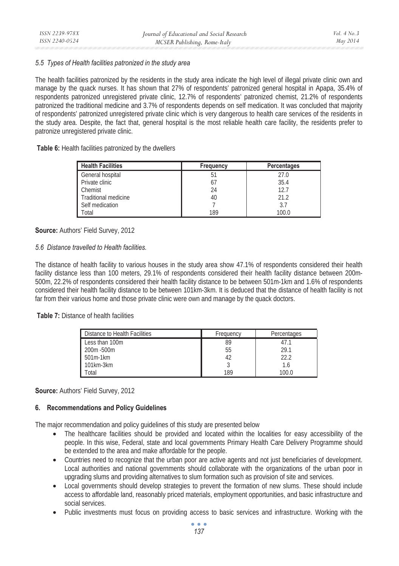### *5.5 Types of Health facilities patronized in the study area*

The health facilities patronized by the residents in the study area indicate the high level of illegal private clinic own and manage by the quack nurses. It has shown that 27% of respondents' patronized general hospital in Apapa, 35.4% of respondents patronized unregistered private clinic, 12.7% of respondents' patronized chemist, 21.2% of respondents patronized the traditional medicine and 3.7% of respondents depends on self medication. It was concluded that majority of respondents' patronized unregistered private clinic which is very dangerous to health care services of the residents in the study area. Despite, the fact that, general hospital is the most reliable health care facility, the residents prefer to patronize unregistered private clinic.

 **Table 6:** Health facilities patronized by the dwellers

| <b>Health Facilities</b>    | Frequency | Percentages |
|-----------------------------|-----------|-------------|
| General hospital            | 51        | 27.0        |
| Private clinic              | 67        | 35.4        |
| Chemist                     | 24        | 12.7        |
| <b>Traditional medicine</b> | 40        | 21.2        |
| Self medication             |           | 3.7         |
| Total                       | 189       | 100.0       |

### **Source:** Authors' Field Survey, 2012

### *5.6 Distance travelled to Health facilities.*

The distance of health facility to various houses in the study area show 47.1% of respondents considered their health facility distance less than 100 meters, 29.1% of respondents considered their health facility distance between 200m-500m, 22.2% of respondents considered their health facility distance to be between 501m-1km and 1.6% of respondents considered their health facility distance to be between 101km-3km. It is deduced that the distance of health facility is not far from their various home and those private clinic were own and manage by the quack doctors.

### **Table 7:** Distance of health facilities

| Distance to Health Facilities | Frequency | Percentages |
|-------------------------------|-----------|-------------|
| Less than 100m                | 89        | 47.1        |
| 200m-500m                     | 55        | 29.1        |
| 501m-1km                      | 42        | 22.2        |
| $101km-3km$                   |           | 1.6         |
| Total                         | 189       | 100.0       |

**Source:** Authors' Field Survey, 2012

### **6. Recommendations and Policy Guidelines**

The major recommendation and policy guidelines of this study are presented below

- The healthcare facilities should be provided and located within the localities for easy accessibility of the people. In this wise, Federal, state and local governments Primary Health Care Delivery Programme should be extended to the area and make affordable for the people.
- Countries need to recognize that the urban poor are active agents and not just beneficiaries of development. Local authorities and national governments should collaborate with the organizations of the urban poor in upgrading slums and providing alternatives to slum formation such as provision of site and services.
- Local governments should develop strategies to prevent the formation of new slums. These should include access to affordable land, reasonably priced materials, employment opportunities, and basic infrastructure and social services.
- Public investments must focus on providing access to basic services and infrastructure. Working with the